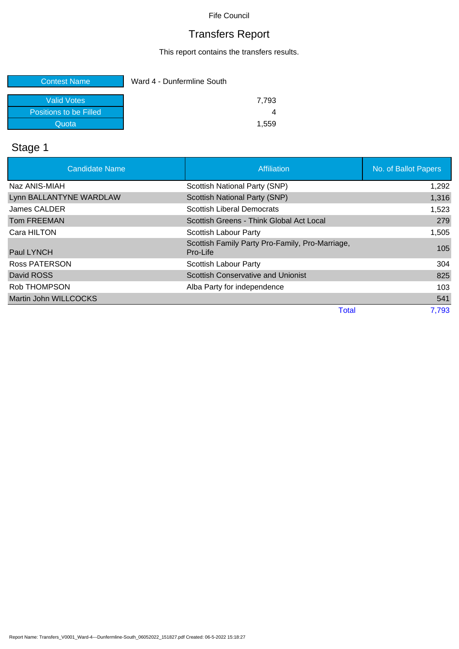# Transfers Report

This report contains the transfers results.

| <b>Contest Name</b>    | Ward 4 - Dunfermline South |
|------------------------|----------------------------|
| Valid Votes            | 7.793                      |
| Positions to be Filled |                            |
| Quota                  | 1.559                      |

# Stage 1

| <b>Candidate Name</b>   | Affiliation                                                 | No. of Ballot Papers |
|-------------------------|-------------------------------------------------------------|----------------------|
| Naz ANIS-MIAH           | Scottish National Party (SNP)                               | 1,292                |
| Lynn BALLANTYNE WARDLAW | Scottish National Party (SNP)                               | 1,316                |
| James CALDER            | <b>Scottish Liberal Democrats</b>                           | 1,523                |
| <b>Tom FREEMAN</b>      | Scottish Greens - Think Global Act Local                    | 279                  |
| Cara HILTON             | Scottish Labour Party                                       | 1,505                |
| Paul LYNCH              | Scottish Family Party Pro-Family, Pro-Marriage,<br>Pro-Life | 105                  |
| <b>Ross PATERSON</b>    | Scottish Labour Party                                       | 304                  |
| David ROSS              | <b>Scottish Conservative and Unionist</b>                   | 825                  |
| Rob THOMPSON            | Alba Party for independence                                 | 103                  |
| Martin John WILLCOCKS   |                                                             | 541                  |
|                         | <b>Total</b>                                                | 7,793                |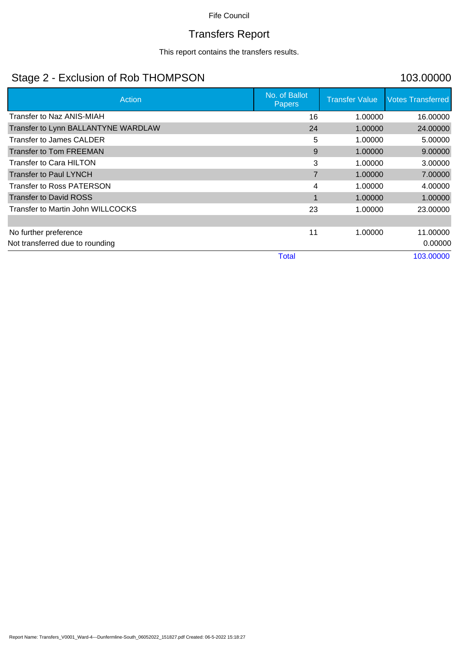# Transfers Report

This report contains the transfers results.

## Stage 2 - Exclusion of Rob THOMPSON 103.00000

| Action                              | No. of Ballot<br><b>Papers</b> | <b>Transfer Value</b> | <b>Votes Transferred</b> |
|-------------------------------------|--------------------------------|-----------------------|--------------------------|
| <b>Transfer to Naz ANIS-MIAH</b>    | 16                             | 1.00000               | 16.00000                 |
| Transfer to Lynn BALLANTYNE WARDLAW | 24                             | 1.00000               | 24.00000                 |
| Transfer to James CALDER            | 5                              | 1.00000               | 5.00000                  |
| <b>Transfer to Tom FREEMAN</b>      | 9                              | 1.00000               | 9.00000                  |
| Transfer to Cara HILTON             | 3                              | 1.00000               | 3.00000                  |
| <b>Transfer to Paul LYNCH</b>       | $\overline{7}$                 | 1.00000               | 7.00000                  |
| <b>Transfer to Ross PATERSON</b>    | 4                              | 1.00000               | 4.00000                  |
| <b>Transfer to David ROSS</b>       | 1                              | 1.00000               | 1.00000                  |
| Transfer to Martin John WILLCOCKS   | 23                             | 1.00000               | 23.00000                 |
|                                     |                                |                       |                          |
| No further preference               | 11                             | 1.00000               | 11.00000                 |
| Not transferred due to rounding     |                                |                       | 0.00000                  |
|                                     | <b>Total</b>                   |                       | 103.00000                |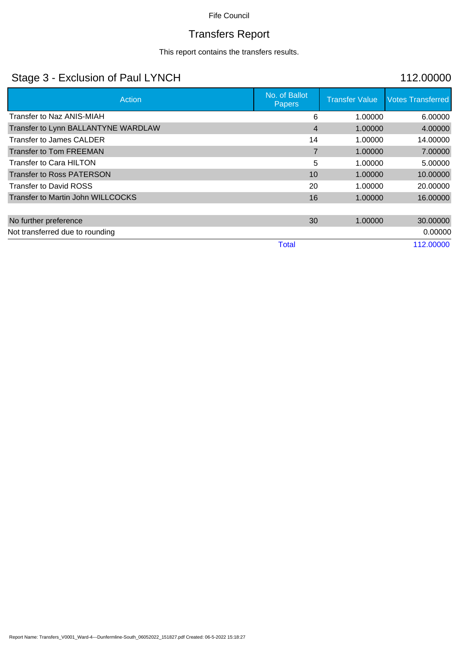# Transfers Report

This report contains the transfers results.

## Stage 3 - Exclusion of Paul LYNCH 112.00000

| Action                              | No. of Ballot<br><b>Papers</b> | <b>Transfer Value</b> | <b>Votes Transferred</b> |
|-------------------------------------|--------------------------------|-----------------------|--------------------------|
| Transfer to Naz ANIS-MIAH           | 6                              | 1.00000               | 6.00000                  |
| Transfer to Lynn BALLANTYNE WARDLAW | 4                              | 1.00000               | 4.00000                  |
| Transfer to James CALDER            | 14                             | 1.00000               | 14.00000                 |
| <b>Transfer to Tom FREEMAN</b>      | $\overline{7}$                 | 1.00000               | 7.00000                  |
| Transfer to Cara HILTON             | 5                              | 1.00000               | 5.00000                  |
| <b>Transfer to Ross PATERSON</b>    | 10                             | 1.00000               | 10.00000                 |
| <b>Transfer to David ROSS</b>       | 20                             | 1.00000               | 20.00000                 |
| Transfer to Martin John WILLCOCKS   | 16                             | 1.00000               | 16.00000                 |
|                                     |                                |                       |                          |
| No further preference               | 30                             | 1.00000               | 30.00000                 |
| Not transferred due to rounding     |                                |                       | 0.00000                  |
|                                     | <b>Total</b>                   |                       | 112.00000                |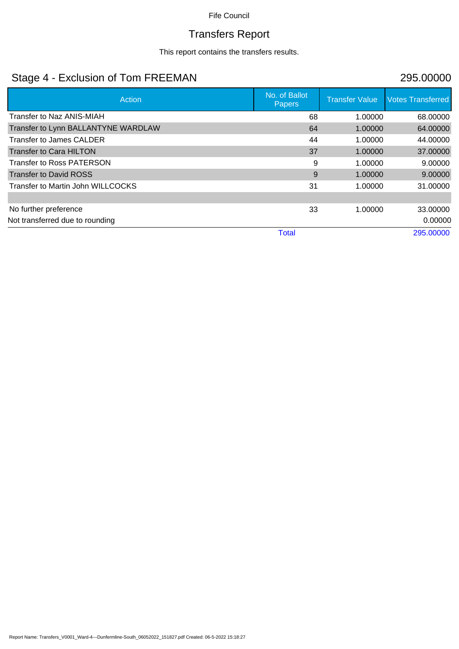# Transfers Report

This report contains the transfers results.

## Stage 4 - Exclusion of Tom FREEMAN 295.00000

| Action                              | No. of Ballot<br><b>Papers</b> | <b>Transfer Value</b> | <b>Votes Transferred</b> |
|-------------------------------------|--------------------------------|-----------------------|--------------------------|
| Transfer to Naz ANIS-MIAH           | 68                             | 1.00000               | 68.00000                 |
| Transfer to Lynn BALLANTYNE WARDLAW | 64                             | 1.00000               | 64.00000                 |
| Transfer to James CALDER            | 44                             | 1.00000               | 44.00000                 |
| <b>Transfer to Cara HILTON</b>      | 37                             | 1.00000               | 37.00000                 |
| <b>Transfer to Ross PATERSON</b>    | 9                              | 1.00000               | 9.00000                  |
| <b>Transfer to David ROSS</b>       | 9                              | 1.00000               | 9.00000                  |
| Transfer to Martin John WILLCOCKS   | 31                             | 1.00000               | 31.00000                 |
|                                     |                                |                       |                          |
| No further preference               | 33                             | 1.00000               | 33.00000                 |
| Not transferred due to rounding     |                                |                       | 0.00000                  |
|                                     | <b>Total</b>                   |                       | 295,00000                |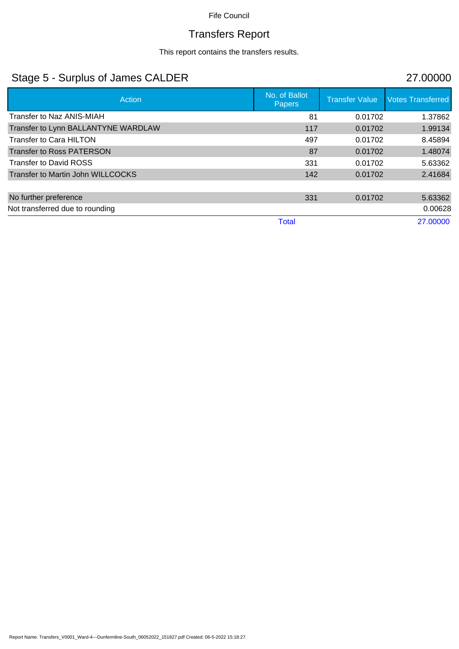# Transfers Report

This report contains the transfers results.

## Stage 5 - Surplus of James CALDER 27.00000

| Action                              | No. of Ballot<br><b>Papers</b> | <b>Transfer Value</b> | <b>Votes Transferred</b> |
|-------------------------------------|--------------------------------|-----------------------|--------------------------|
| Transfer to Naz ANIS-MIAH           | 81                             | 0.01702               | 1.37862                  |
| Transfer to Lynn BALLANTYNE WARDLAW | 117                            | 0.01702               | 1.99134                  |
| <b>Transfer to Cara HILTON</b>      | 497                            | 0.01702               | 8.45894                  |
| <b>Transfer to Ross PATERSON</b>    | 87                             | 0.01702               | 1.48074                  |
| <b>Transfer to David ROSS</b>       | 331                            | 0.01702               | 5.63362                  |
| Transfer to Martin John WILLCOCKS   | 142                            | 0.01702               | 2.41684                  |
| No further preference               | 331                            | 0.01702               | 5.63362                  |
| Not transferred due to rounding     |                                |                       | 0.00628                  |
|                                     | <b>Total</b>                   |                       | 27.00000                 |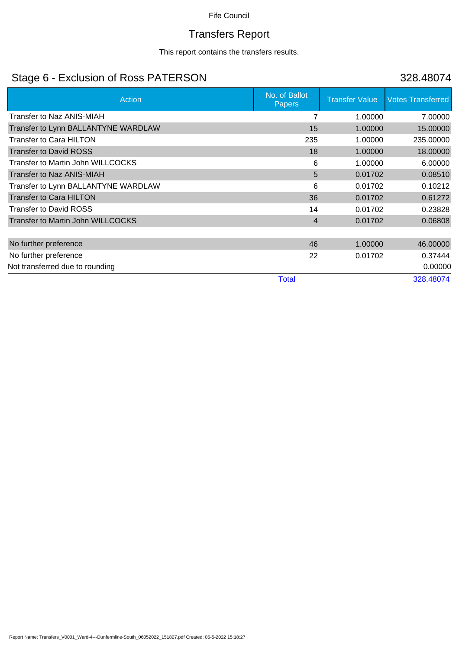# Transfers Report

This report contains the transfers results.

## Stage 6 - Exclusion of Ross PATERSON 328.48074

| Action                              | No. of Ballot<br><b>Papers</b> | <b>Transfer Value</b> | <b>Votes Transferred</b> |
|-------------------------------------|--------------------------------|-----------------------|--------------------------|
| Transfer to Naz ANIS-MIAH           |                                | 1.00000               | 7.00000                  |
| Transfer to Lynn BALLANTYNE WARDLAW | 15                             | 1.00000               | 15.00000                 |
| Transfer to Cara HILTON             | 235                            | 1.00000               | 235.00000                |
| <b>Transfer to David ROSS</b>       | 18                             | 1.00000               | 18.00000                 |
| Transfer to Martin John WILLCOCKS   | 6                              | 1.00000               | 6.00000                  |
| <b>Transfer to Naz ANIS-MIAH</b>    | 5                              | 0.01702               | 0.08510                  |
| Transfer to Lynn BALLANTYNE WARDLAW | 6                              | 0.01702               | 0.10212                  |
| <b>Transfer to Cara HILTON</b>      | 36                             | 0.01702               | 0.61272                  |
| <b>Transfer to David ROSS</b>       | 14                             | 0.01702               | 0.23828                  |
| Transfer to Martin John WILLCOCKS   | $\overline{4}$                 | 0.01702               | 0.06808                  |
|                                     |                                |                       |                          |
| No further preference               | 46                             | 1.00000               | 46.00000                 |
| No further preference               | 22                             | 0.01702               | 0.37444                  |
| Not transferred due to rounding     |                                |                       | 0.00000                  |
|                                     | <b>Total</b>                   |                       | 328.48074                |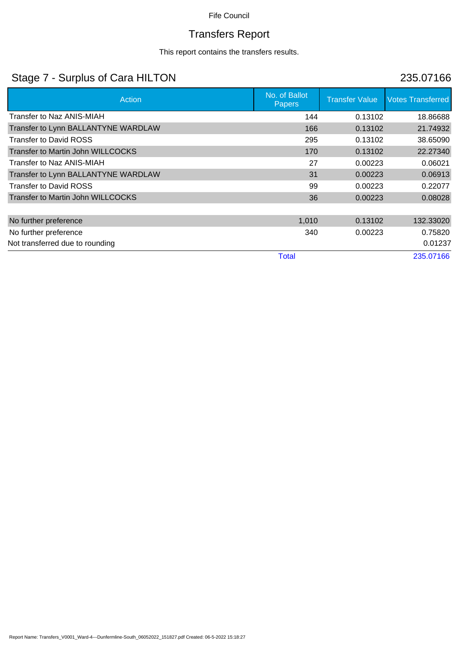# Transfers Report

This report contains the transfers results.

## Stage 7 - Surplus of Cara HILTON 235.07166

| Action                                   | No. of Ballot<br><b>Papers</b> | <b>Transfer Value</b> | <b>Votes Transferred</b> |
|------------------------------------------|--------------------------------|-----------------------|--------------------------|
| Transfer to Naz ANIS-MIAH                | 144                            | 0.13102               | 18.86688                 |
| Transfer to Lynn BALLANTYNE WARDLAW      | 166                            | 0.13102               | 21.74932                 |
| <b>Transfer to David ROSS</b>            | 295                            | 0.13102               | 38.65090                 |
| Transfer to Martin John WILLCOCKS        | 170                            | 0.13102               | 22.27340                 |
| Transfer to Naz ANIS-MIAH                | 27                             | 0.00223               | 0.06021                  |
| Transfer to Lynn BALLANTYNE WARDLAW      | 31                             | 0.00223               | 0.06913                  |
| <b>Transfer to David ROSS</b>            | 99                             | 0.00223               | 0.22077                  |
| <b>Transfer to Martin John WILLCOCKS</b> | 36                             | 0.00223               | 0.08028                  |
|                                          |                                |                       |                          |
| No further preference                    | 1,010                          | 0.13102               | 132.33020                |
| No further preference                    | 340                            | 0.00223               | 0.75820                  |
| Not transferred due to rounding          |                                |                       | 0.01237                  |
|                                          | Total                          |                       | 235.07166                |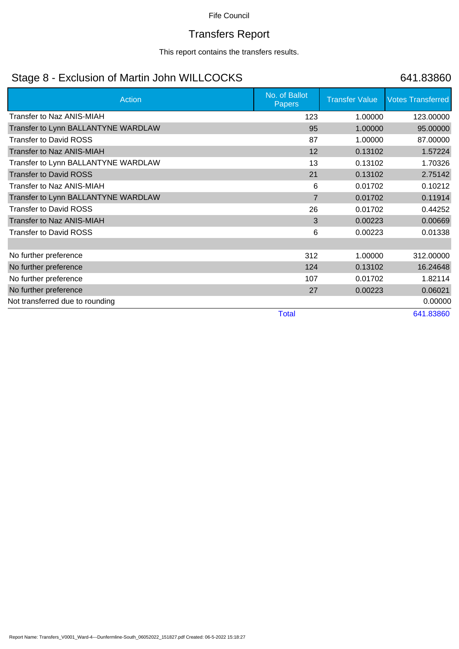# Transfers Report

This report contains the transfers results.

## Stage 8 - Exclusion of Martin John WILLCOCKS 641.83860

| Action                              | No. of Ballot<br><b>Papers</b> | <b>Transfer Value</b> | <b>Votes Transferred</b> |
|-------------------------------------|--------------------------------|-----------------------|--------------------------|
| Transfer to Naz ANIS-MIAH           | 123                            | 1.00000               | 123.00000                |
| Transfer to Lynn BALLANTYNE WARDLAW | 95                             | 1.00000               | 95.00000                 |
| <b>Transfer to David ROSS</b>       | 87                             | 1.00000               | 87.00000                 |
| Transfer to Naz ANIS-MIAH           | 12                             | 0.13102               | 1.57224                  |
| Transfer to Lynn BALLANTYNE WARDLAW | 13                             | 0.13102               | 1.70326                  |
| <b>Transfer to David ROSS</b>       | 21                             | 0.13102               | 2.75142                  |
| Transfer to Naz ANIS-MIAH           | 6                              | 0.01702               | 0.10212                  |
| Transfer to Lynn BALLANTYNE WARDLAW | $\overline{7}$                 | 0.01702               | 0.11914                  |
| <b>Transfer to David ROSS</b>       | 26                             | 0.01702               | 0.44252                  |
| <b>Transfer to Naz ANIS-MIAH</b>    | 3                              | 0.00223               | 0.00669                  |
| <b>Transfer to David ROSS</b>       | 6                              | 0.00223               | 0.01338                  |
|                                     |                                |                       |                          |
| No further preference               | 312                            | 1.00000               | 312.00000                |
| No further preference               | 124                            | 0.13102               | 16.24648                 |
| No further preference               | 107                            | 0.01702               | 1.82114                  |
| No further preference               | 27                             | 0.00223               | 0.06021                  |
| Not transferred due to rounding     |                                |                       | 0.00000                  |
|                                     | <b>Total</b>                   |                       | 641.83860                |